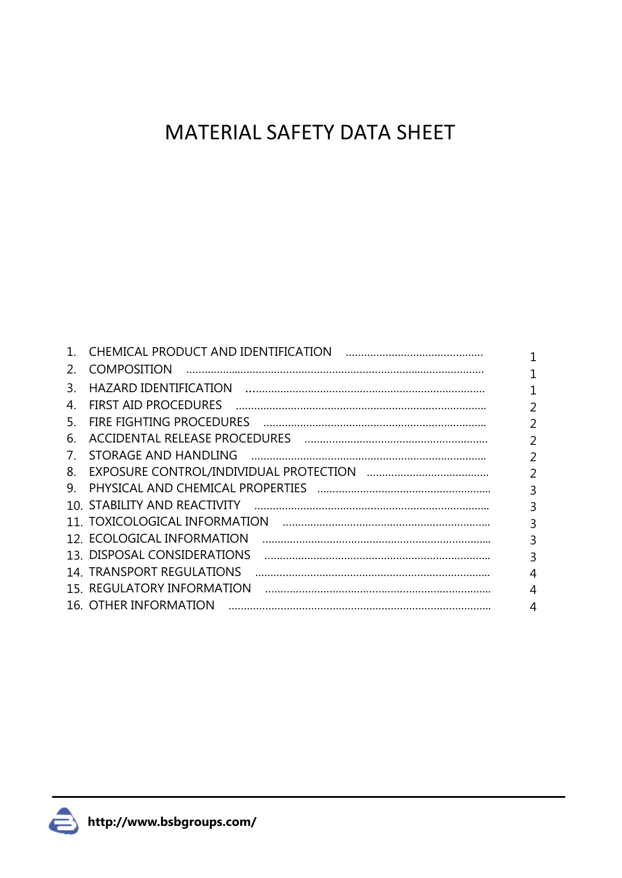# MATERIAL SAFETY DATA SHEET

|                                 | CHEMICAL PRODUCT AND IDENTIFICATION |                |
|---------------------------------|-------------------------------------|----------------|
| 2.                              | <b>COMPOSITION</b>                  |                |
| 3.                              | HAZARD IDENTIFICATION               | 1              |
| 4.                              | <b>FIRST AID PROCEDURES</b>         | $\overline{2}$ |
| 5.                              |                                     | $\overline{2}$ |
| 6.                              |                                     | $\overline{2}$ |
| $7_{\scriptscriptstyle{\circ}}$ | STORAGE AND HANDLING                | $\overline{2}$ |
| 8.                              |                                     | 2              |
| 9.                              |                                     | $\overline{3}$ |
|                                 | 10. STABILITY AND REACTIVITY        | 3              |
|                                 | 11. TOXICOLOGICAL INFORMATION       | 3              |
|                                 | 12. ECOLOGICAL INFORMATION          | 3              |
|                                 | 13. DISPOSAL CONSIDERATIONS         | 3              |
|                                 | 14. TRANSPORT REGULATIONS           | 4              |
|                                 | 15. REGULATORY INFORMATION          | 4              |
|                                 | 16. OTHER INFORMATION               | 4              |

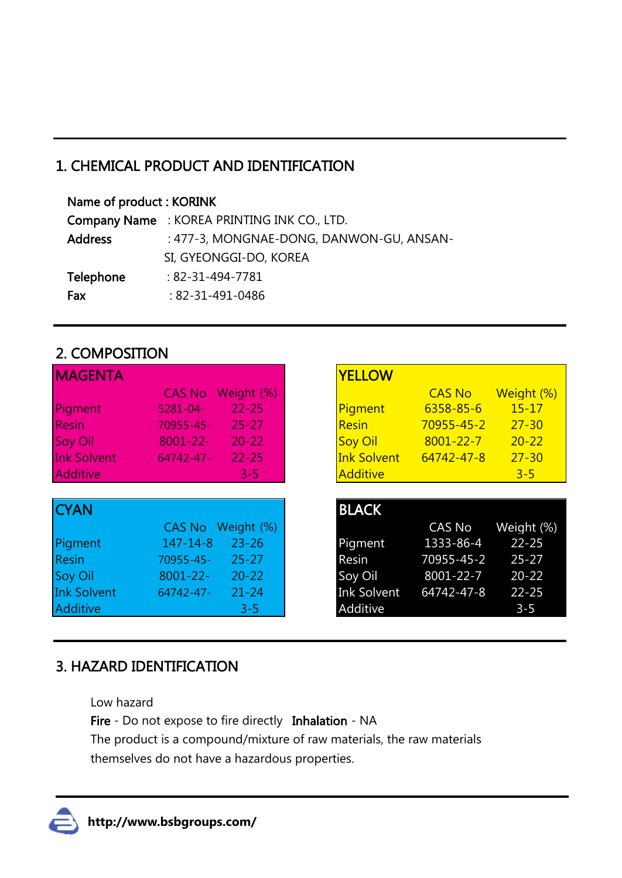## 1. CHEMICAL PRODUCT AND IDENTIFICATION

#### Name of product : KORINK

|                | Company Name: KOREA PRINTING INK CO., LTD. |
|----------------|--------------------------------------------|
| <b>Address</b> | : 477-3, MONGNAE-DONG, DANWON-GU, ANSAN-   |
|                | SI, GYEONGGI-DO, KOREA                     |
| Telephone      | $: 82 - 31 - 494 - 7781$                   |
| Fax            | $: 82 - 31 - 491 - 0486$                   |

### 2. COMPOSITION

| <b>MAGENTA</b>     |                |            |
|--------------------|----------------|------------|
|                    | <b>CAS No</b>  | Weight (%) |
| Pigment            | $5281 - 04 -$  | $22 - 25$  |
| <b>Resin</b>       | 70955-45-      | $25 - 27$  |
| Soy Oil            | $8001 - 22 -$  | $20 - 22$  |
| <b>Ink Solvent</b> | $64742 - 47$ - | $22 - 25$  |
| <b>Additive</b>    |                | $3 - 5$    |
|                    |                |            |
| <b>CYAN</b>        |                |            |
|                    | <b>CAS No</b>  | Weight (%) |
| Pigment            | $147 - 14 - 8$ | $23 - 26$  |
| <b>Resin</b>       | 70955-45-      | $25 - 27$  |
| <b>Soy Oil</b>     | 8001-22-       | $20 - 22$  |
| <b>Ink Solvent</b> | 64742-47-      | $21 - 24$  |
| <b>Additive</b>    |                | $3 - 5$    |

## 3. HAZARD IDENTIFICATION

Low hazard

Fire - Do not expose to fire directly Inhalation - NA

The product is a compound/mixture of raw materials, the raw materials themselves do not have a hazardous properties.

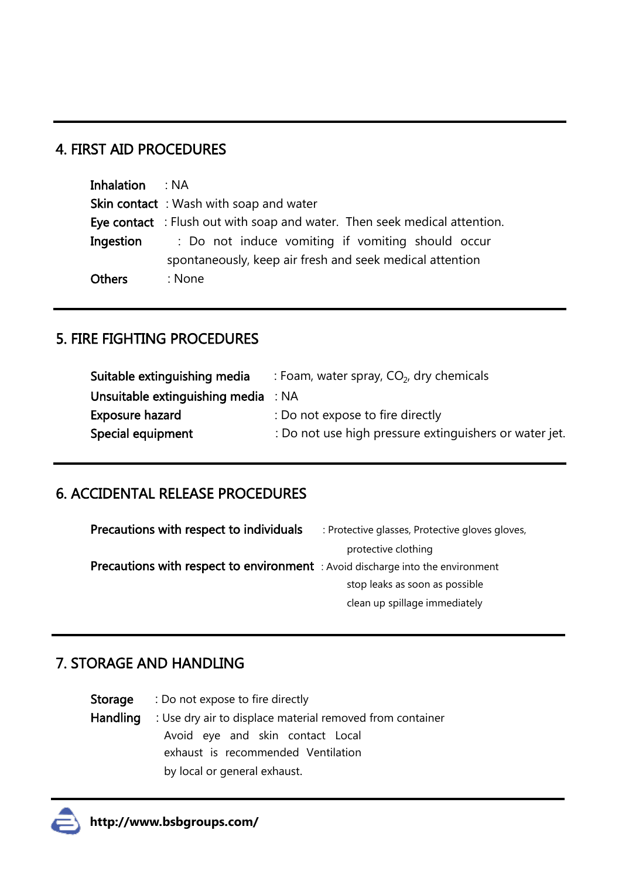#### 4. FIRST AID PROCEDURES

| <b>Inhalation</b> : NA |                                                                          |  |  |
|------------------------|--------------------------------------------------------------------------|--|--|
|                        | <b>Skin contact</b> : Wash with soap and water                           |  |  |
|                        | Eye contact: Flush out with soap and water. Then seek medical attention. |  |  |
| Ingestion              | : Do not induce vomiting if vomiting should occur                        |  |  |
|                        | spontaneously, keep air fresh and seek medical attention                 |  |  |
| <b>Others</b>          | : None                                                                   |  |  |

## 5. FIRE FIGHTING PROCEDURES

| : Foam, water spray, $CO2$ , dry chemicals             |
|--------------------------------------------------------|
| Unsuitable extinguishing media : NA                    |
| : Do not expose to fire directly                       |
| : Do not use high pressure extinguishers or water jet. |
|                                                        |

## 6. ACCIDENTAL RELEASE PROCEDURES

| Precautions with respect to individuals                                               | : Protective glasses, Protective gloves gloves, |
|---------------------------------------------------------------------------------------|-------------------------------------------------|
|                                                                                       | protective clothing                             |
| <b>Precautions with respect to environment</b> : Avoid discharge into the environment |                                                 |
|                                                                                       | stop leaks as soon as possible                  |
|                                                                                       | clean up spillage immediately                   |

## 7. STORAGE AND HANDLING

|          | <b>Storage</b> : Do not expose to fire directly                    |  |  |  |
|----------|--------------------------------------------------------------------|--|--|--|
| Handling | : Use dry air to displace material removed from container          |  |  |  |
|          | Avoid eye and skin contact Local                                   |  |  |  |
|          | exhaust is recommended Ventilation<br>by local or general exhaust. |  |  |  |
|          |                                                                    |  |  |  |

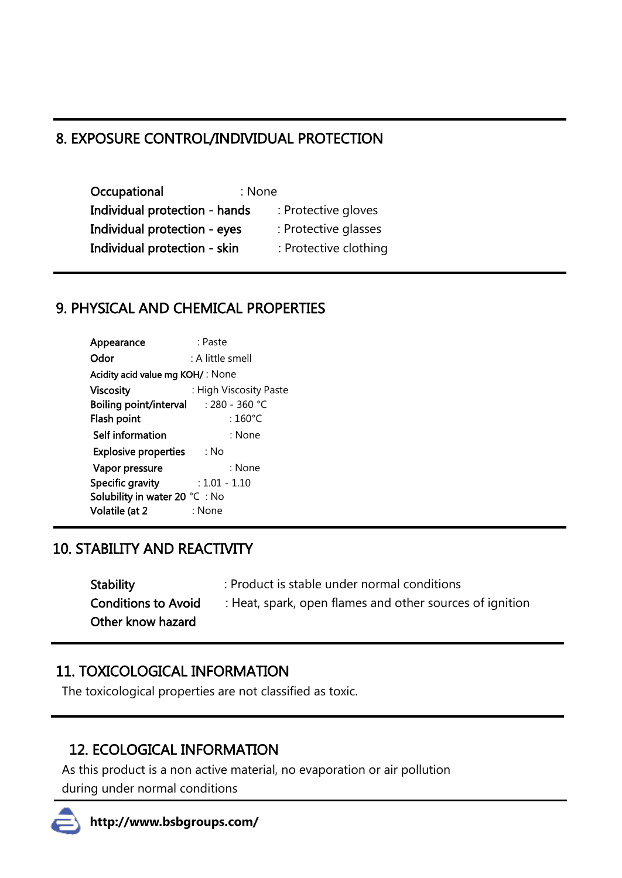## 8. EXPOSURE CONTROL/INDIVIDUAL PROTECTION

Occupational : None Individual protection - hands : Protective gloves Individual protection - eyes : Protective glasses Individual protection - skin : Protective clothing

#### 9. PHYSICAL AND CHEMICAL PROPERTIES

| : Paste                                        |
|------------------------------------------------|
| : A little smell                               |
| Acidity acid value mg KOH/: None               |
| : High Viscosity Paste                         |
| <b>Boiling point/interval</b> $: 280 - 360$ °C |
| : $160^{\circ}$ C                              |
| : None                                         |
| <b>Explosive properties</b><br>∴ No            |
| : None                                         |
| $: 1.01 - 1.10$                                |
| Solubility in water 20 °C: No                  |
| : None                                         |
|                                                |

## 10. STABILITY AND REACTIVITY

- Stability : Product is stable under normal conditions
- Other know hazard
- 
- Conditions to Avoid : Heat, spark, open flames and other sources of ignition

## 11. TOXICOLOGICAL INFORMATION

The toxicological properties are not classified as toxic.

## 12. ECOLOGICAL INFORMATION

As this product is a non active material, no evaporation or air pollution during under normal conditions